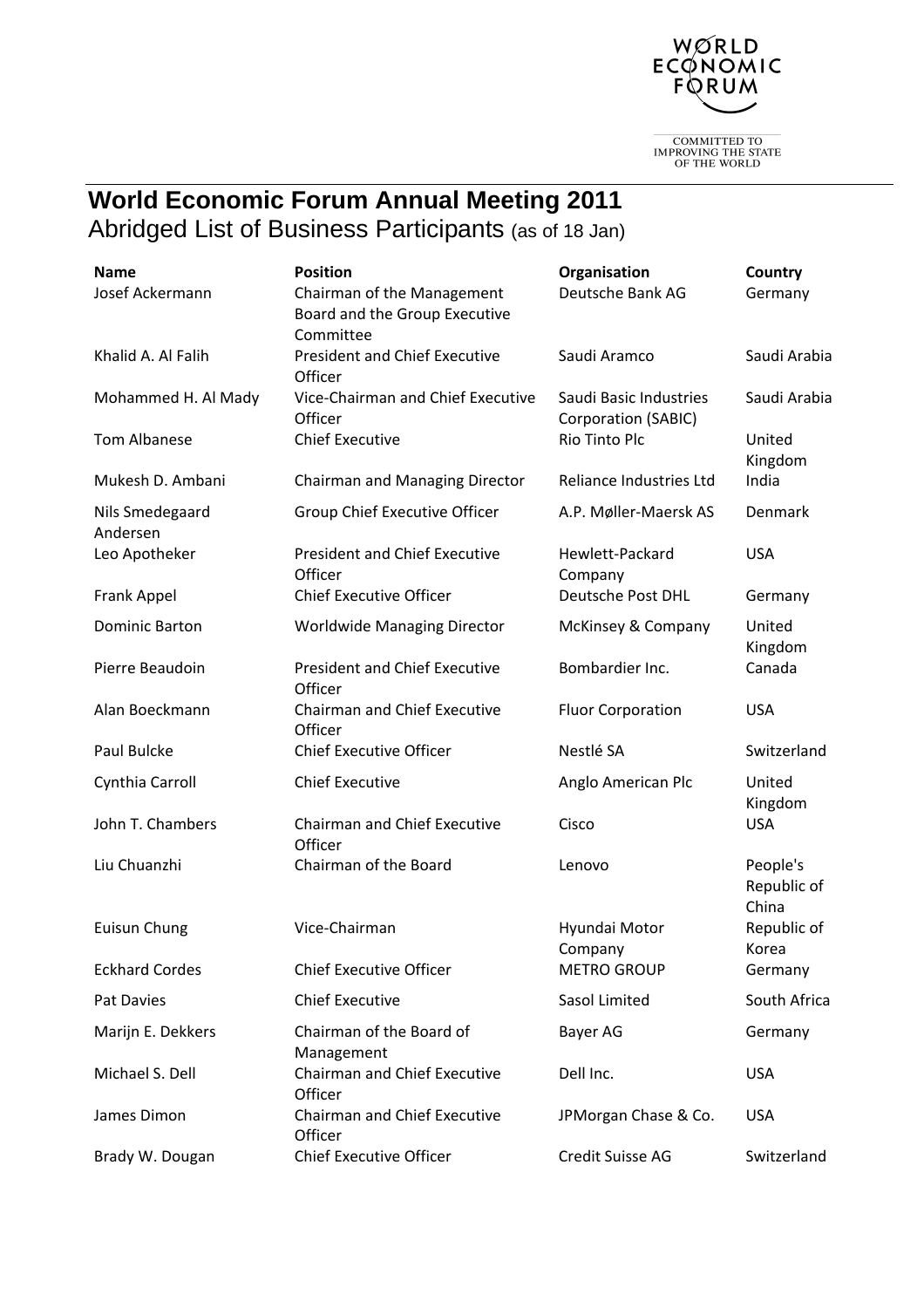

 $\fbox{\parbox{2.5cm}{{\bf COMMITIED~TO}}\\ {\bf IMPROVING~THE~STATE}\\ {\bf OF THE WORD} \end{tabular}$ 

## **World Economic Forum Annual Meeting 2011**  Abridged List of Business Participants (as of 18 Jan)

| <b>Name</b>                 | <b>Position</b>                                                          | Organisation                                  | <b>Country</b>                   |
|-----------------------------|--------------------------------------------------------------------------|-----------------------------------------------|----------------------------------|
| Josef Ackermann             | Chairman of the Management<br>Board and the Group Executive<br>Committee | Deutsche Bank AG                              | Germany                          |
| Khalid A. Al Falih          | <b>President and Chief Executive</b><br>Officer                          | Saudi Aramco                                  | Saudi Arabia                     |
| Mohammed H. Al Mady         | Vice-Chairman and Chief Executive<br>Officer                             | Saudi Basic Industries<br>Corporation (SABIC) | Saudi Arabia                     |
| <b>Tom Albanese</b>         | <b>Chief Executive</b>                                                   | Rio Tinto Plc                                 | United<br>Kingdom                |
| Mukesh D. Ambani            | Chairman and Managing Director                                           | Reliance Industries Ltd                       | India                            |
| Nils Smedegaard<br>Andersen | Group Chief Executive Officer                                            | A.P. Møller-Maersk AS                         | Denmark                          |
| Leo Apotheker               | <b>President and Chief Executive</b><br>Officer                          | Hewlett-Packard<br>Company                    | <b>USA</b>                       |
| Frank Appel                 | <b>Chief Executive Officer</b>                                           | Deutsche Post DHL                             | Germany                          |
| <b>Dominic Barton</b>       | <b>Worldwide Managing Director</b>                                       | McKinsey & Company                            | United<br>Kingdom                |
| Pierre Beaudoin             | <b>President and Chief Executive</b><br>Officer                          | Bombardier Inc.                               | Canada                           |
| Alan Boeckmann              | <b>Chairman and Chief Executive</b><br>Officer                           | <b>Fluor Corporation</b>                      | <b>USA</b>                       |
| Paul Bulcke                 | <b>Chief Executive Officer</b>                                           | Nestlé SA                                     | Switzerland                      |
| Cynthia Carroll             | <b>Chief Executive</b>                                                   | Anglo American Plc                            | United<br>Kingdom                |
| John T. Chambers            | <b>Chairman and Chief Executive</b><br>Officer                           | Cisco                                         | <b>USA</b>                       |
| Liu Chuanzhi                | Chairman of the Board                                                    | Lenovo                                        | People's<br>Republic of<br>China |
| Euisun Chung                | Vice-Chairman                                                            | Hyundai Motor<br>Company                      | Republic of<br>Korea             |
| <b>Eckhard Cordes</b>       | <b>Chief Executive Officer</b>                                           | <b>METRO GROUP</b>                            | Germany                          |
| Pat Davies                  | <b>Chief Executive</b>                                                   | Sasol Limited                                 | South Africa                     |
| Marijn E. Dekkers           | Chairman of the Board of<br>Management                                   | Bayer AG                                      | Germany                          |
| Michael S. Dell             | Chairman and Chief Executive<br>Officer                                  | Dell Inc.                                     | <b>USA</b>                       |
| James Dimon                 | <b>Chairman and Chief Executive</b><br>Officer                           | JPMorgan Chase & Co.                          | <b>USA</b>                       |
| Brady W. Dougan             | <b>Chief Executive Officer</b>                                           | Credit Suisse AG                              | Switzerland                      |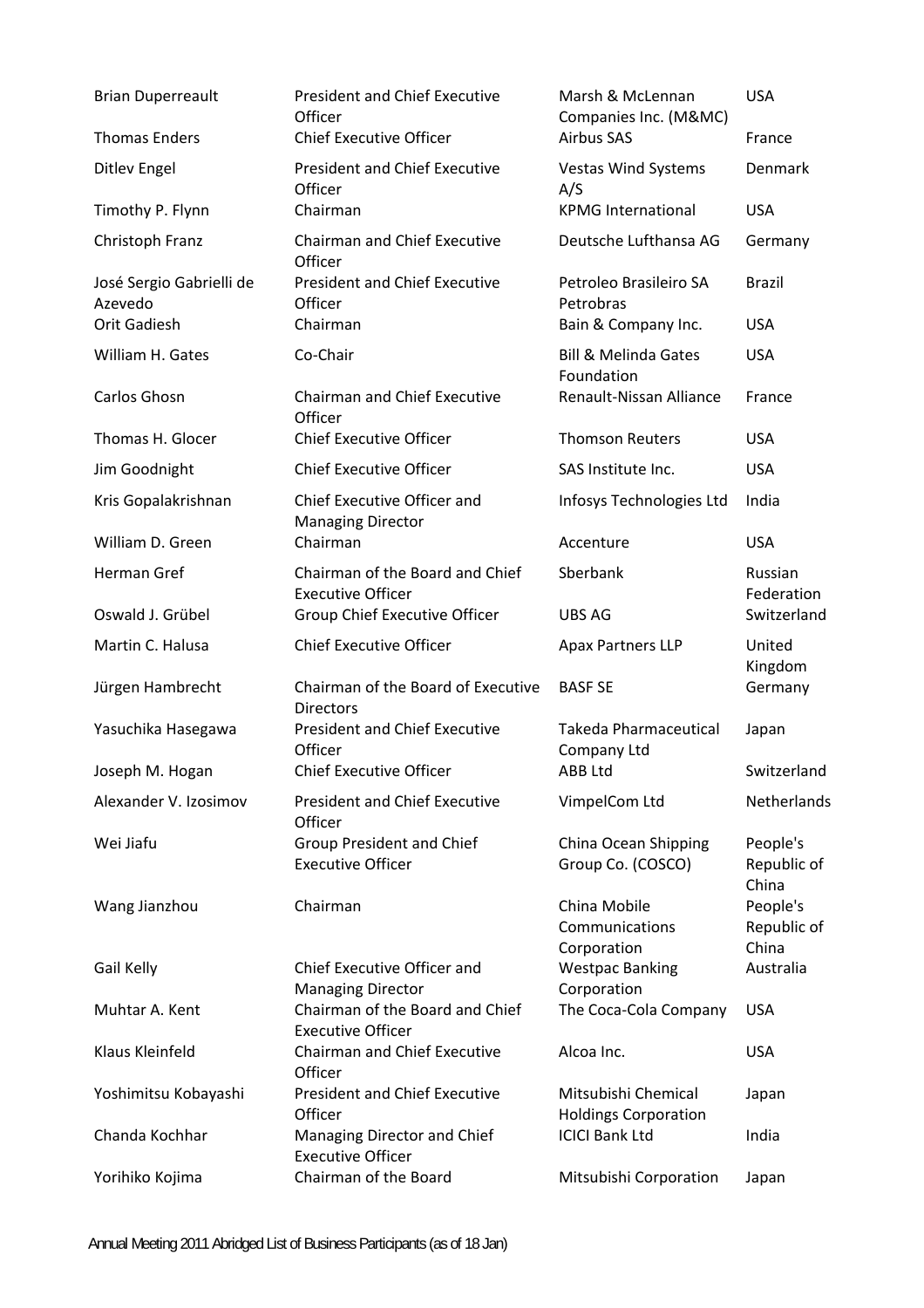| <b>Brian Duperreault</b>            | <b>President and Chief Executive</b><br>Officer             | Marsh & McLennan<br>Companies Inc. (M&MC)            | <b>USA</b>                       |
|-------------------------------------|-------------------------------------------------------------|------------------------------------------------------|----------------------------------|
| <b>Thomas Enders</b>                | <b>Chief Executive Officer</b>                              | <b>Airbus SAS</b>                                    | France                           |
| <b>Ditlev Engel</b>                 | <b>President and Chief Executive</b><br>Officer             | <b>Vestas Wind Systems</b><br>A/S                    | Denmark                          |
| Timothy P. Flynn                    | Chairman                                                    | <b>KPMG International</b>                            | <b>USA</b>                       |
| Christoph Franz                     | <b>Chairman and Chief Executive</b><br>Officer              | Deutsche Lufthansa AG                                | Germany                          |
| José Sergio Gabrielli de<br>Azevedo | <b>President and Chief Executive</b><br>Officer             | Petroleo Brasileiro SA<br>Petrobras                  | <b>Brazil</b>                    |
| <b>Orit Gadiesh</b>                 | Chairman                                                    | Bain & Company Inc.                                  | <b>USA</b>                       |
| William H. Gates                    | Co-Chair                                                    | <b>Bill &amp; Melinda Gates</b><br>Foundation        | <b>USA</b>                       |
| Carlos Ghosn                        | <b>Chairman and Chief Executive</b><br>Officer              | Renault-Nissan Alliance                              | France                           |
| Thomas H. Glocer                    | <b>Chief Executive Officer</b>                              | <b>Thomson Reuters</b>                               | <b>USA</b>                       |
| Jim Goodnight                       | <b>Chief Executive Officer</b>                              | SAS Institute Inc.                                   | <b>USA</b>                       |
| Kris Gopalakrishnan                 | Chief Executive Officer and<br><b>Managing Director</b>     | Infosys Technologies Ltd                             | India                            |
| William D. Green                    | Chairman                                                    | Accenture                                            | <b>USA</b>                       |
| Herman Gref                         | Chairman of the Board and Chief<br><b>Executive Officer</b> | Sberbank                                             | Russian<br>Federation            |
| Oswald J. Grübel                    | Group Chief Executive Officer                               | UBS AG                                               | Switzerland                      |
|                                     |                                                             |                                                      |                                  |
| Martin C. Halusa                    | <b>Chief Executive Officer</b>                              | <b>Apax Partners LLP</b>                             | United<br>Kingdom                |
| Jürgen Hambrecht                    | Chairman of the Board of Executive<br><b>Directors</b>      | <b>BASF SE</b>                                       | Germany                          |
| Yasuchika Hasegawa                  | <b>President and Chief Executive</b><br>Officer             | <b>Takeda Pharmaceutical</b><br>Company Ltd          | Japan                            |
| Joseph M. Hogan                     | <b>Chief Executive Officer</b>                              | ABB Ltd                                              | Switzerland                      |
| Alexander V. Izosimov               | <b>President and Chief Executive</b><br>Officer             | VimpelCom Ltd                                        | Netherlands                      |
| Wei Jiafu                           | Group President and Chief<br><b>Executive Officer</b>       | China Ocean Shipping<br>Group Co. (COSCO)            | People's<br>Republic of<br>China |
| Wang Jianzhou                       | Chairman                                                    | China Mobile<br>Communications                       | People's<br>Republic of<br>China |
| Gail Kelly                          | Chief Executive Officer and<br><b>Managing Director</b>     | Corporation<br><b>Westpac Banking</b><br>Corporation | Australia                        |
| Muhtar A. Kent                      | Chairman of the Board and Chief<br><b>Executive Officer</b> | The Coca-Cola Company                                | <b>USA</b>                       |
| Klaus Kleinfeld                     | <b>Chairman and Chief Executive</b><br>Officer              | Alcoa Inc.                                           | <b>USA</b>                       |
| Yoshimitsu Kobayashi                | <b>President and Chief Executive</b><br>Officer             | Mitsubishi Chemical<br><b>Holdings Corporation</b>   | Japan                            |
| Chanda Kochhar                      | Managing Director and Chief<br><b>Executive Officer</b>     | <b>ICICI Bank Ltd</b>                                | India                            |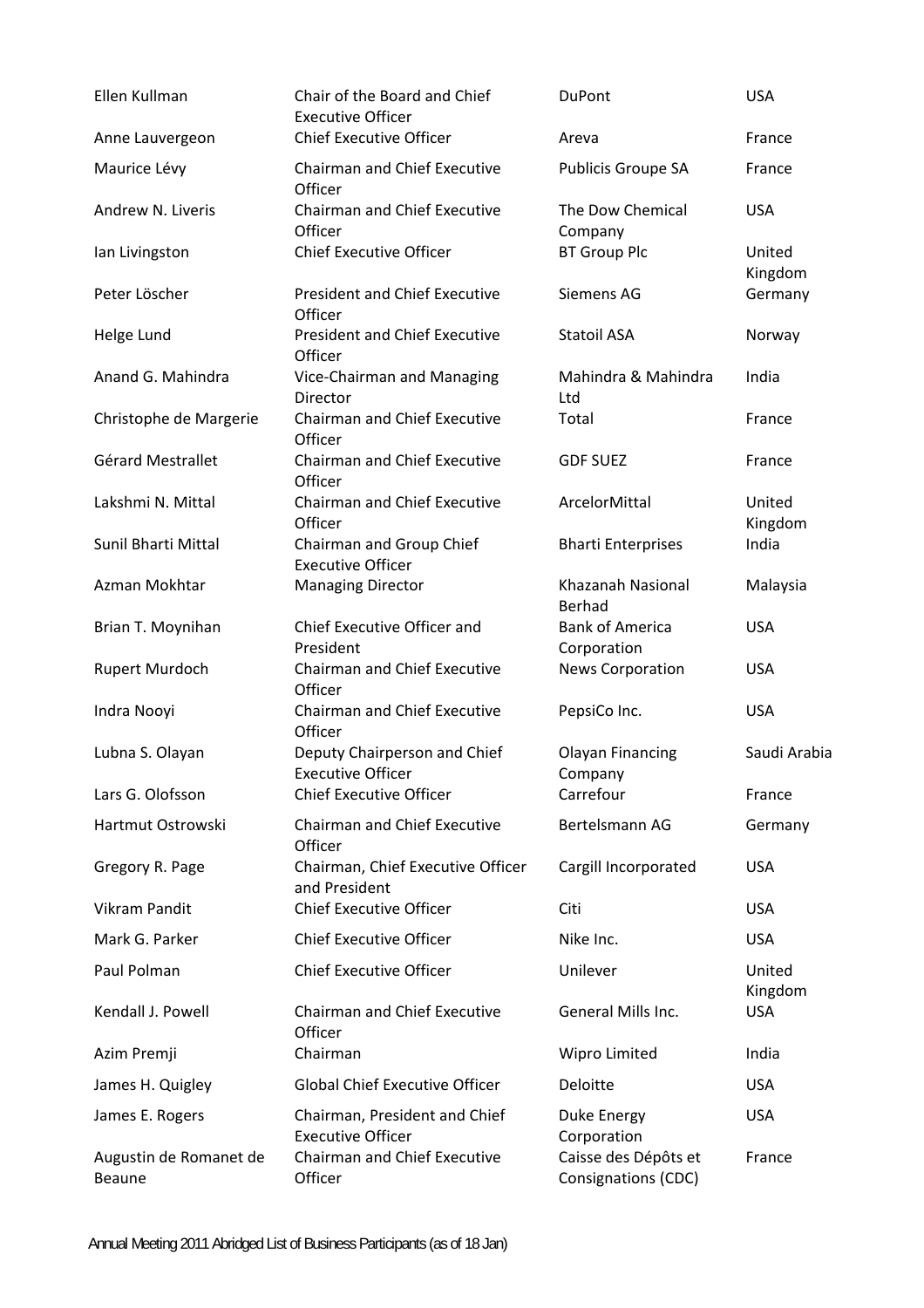| Ellen Kullman                    | Chair of the Board and Chief<br><b>Executive Officer</b>  | <b>DuPont</b>                               | <b>USA</b>        |
|----------------------------------|-----------------------------------------------------------|---------------------------------------------|-------------------|
| Anne Lauvergeon                  | <b>Chief Executive Officer</b>                            | Areva                                       | France            |
| Maurice Lévy                     | <b>Chairman and Chief Executive</b><br>Officer            | Publicis Groupe SA                          | France            |
| Andrew N. Liveris                | <b>Chairman and Chief Executive</b><br>Officer            | The Dow Chemical<br>Company                 | <b>USA</b>        |
| Ian Livingston                   | <b>Chief Executive Officer</b>                            | <b>BT Group Plc</b>                         | United<br>Kingdom |
| Peter Löscher                    | <b>President and Chief Executive</b><br>Officer           | Siemens AG                                  | Germany           |
| Helge Lund                       | <b>President and Chief Executive</b><br>Officer           | Statoil ASA                                 | Norway            |
| Anand G. Mahindra                | Vice-Chairman and Managing<br>Director                    | Mahindra & Mahindra<br>Ltd                  | India             |
| Christophe de Margerie           | <b>Chairman and Chief Executive</b><br>Officer            | Total                                       | France            |
| Gérard Mestrallet                | <b>Chairman and Chief Executive</b><br>Officer            | <b>GDF SUEZ</b>                             | France            |
| Lakshmi N. Mittal                | <b>Chairman and Chief Executive</b><br>Officer            | ArcelorMittal                               | United<br>Kingdom |
| Sunil Bharti Mittal              | Chairman and Group Chief<br><b>Executive Officer</b>      | <b>Bharti Enterprises</b>                   | India             |
| Azman Mokhtar                    | <b>Managing Director</b>                                  | Khazanah Nasional<br>Berhad                 | Malaysia          |
| Brian T. Moynihan                | Chief Executive Officer and<br>President                  | <b>Bank of America</b><br>Corporation       | <b>USA</b>        |
| Rupert Murdoch                   | <b>Chairman and Chief Executive</b><br>Officer            | <b>News Corporation</b>                     | <b>USA</b>        |
| Indra Nooyi                      | <b>Chairman and Chief Executive</b><br>Officer            | PepsiCo Inc.                                | <b>USA</b>        |
| Lubna S. Olayan                  | Deputy Chairperson and Chief<br>Executive Officer         | <b>Olayan Financing</b><br>Company          | Saudi Arabia      |
| Lars G. Olofsson                 | <b>Chief Executive Officer</b>                            | Carrefour                                   | France            |
| Hartmut Ostrowski                | <b>Chairman and Chief Executive</b><br>Officer            | Bertelsmann AG                              | Germany           |
| Gregory R. Page                  | Chairman, Chief Executive Officer<br>and President        | Cargill Incorporated                        | <b>USA</b>        |
| Vikram Pandit                    | <b>Chief Executive Officer</b>                            | Citi                                        | <b>USA</b>        |
| Mark G. Parker                   | <b>Chief Executive Officer</b>                            | Nike Inc.                                   | <b>USA</b>        |
| Paul Polman                      | <b>Chief Executive Officer</b>                            | Unilever                                    | United<br>Kingdom |
| Kendall J. Powell                | <b>Chairman and Chief Executive</b><br>Officer            | General Mills Inc.                          | <b>USA</b>        |
| Azim Premji                      | Chairman                                                  | Wipro Limited                               | India             |
| James H. Quigley                 | <b>Global Chief Executive Officer</b>                     | Deloitte                                    | <b>USA</b>        |
| James E. Rogers                  | Chairman, President and Chief<br><b>Executive Officer</b> | Duke Energy<br>Corporation                  | <b>USA</b>        |
| Augustin de Romanet de<br>Beaune | Chairman and Chief Executive<br>Officer                   | Caisse des Dépôts et<br>Consignations (CDC) | France            |